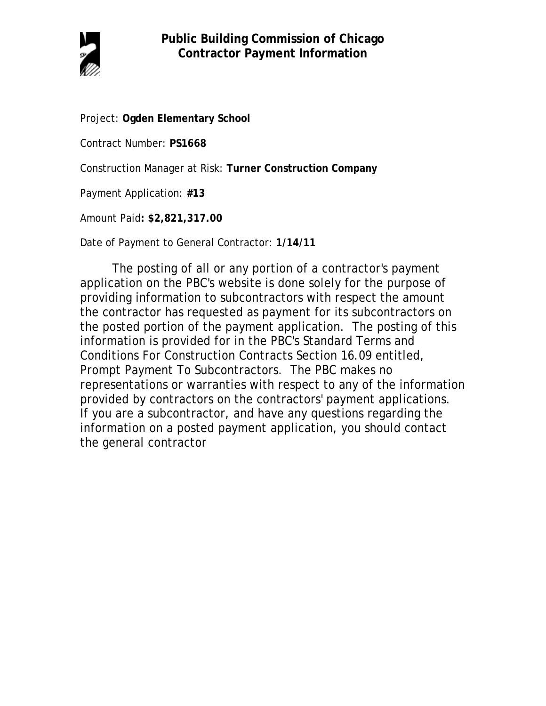

Project: **Ogden Elementary School**

Contract Number: **PS1668**

Construction Manager at Risk: **Turner Construction Company**

Payment Application: **#13**

Amount Paid**: \$2,821,317.00**

Date of Payment to General Contractor: **1/14/11**

The posting of all or any portion of a contractor's payment application on the PBC's website is done solely for the purpose of providing information to subcontractors with respect the amount the contractor has requested as payment for its subcontractors on the posted portion of the payment application. The posting of this information is provided for in the PBC's Standard Terms and Conditions For Construction Contracts Section 16.09 entitled, Prompt Payment To Subcontractors. The PBC makes no representations or warranties with respect to any of the information provided by contractors on the contractors' payment applications. If you are a subcontractor, and have any questions regarding the information on a posted payment application, you should contact the general contractor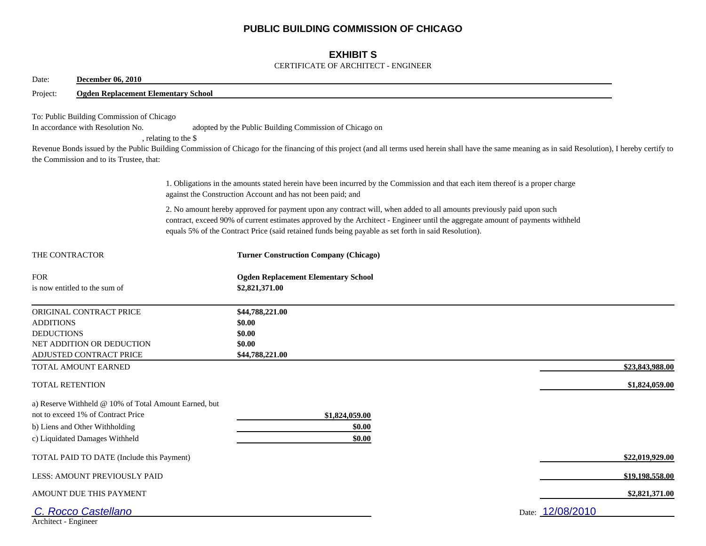# **PUBLIC BUILDING COMMISSION OF CHICAGO**

## **EXHIBIT S**

#### CERTIFICATE OF ARCHITECT - ENGINEER

| Date:                                 | <b>December 06, 2010</b>                                                                                                                                        |                                                                                                                                                                                                                                                                                                                                                                |                 |
|---------------------------------------|-----------------------------------------------------------------------------------------------------------------------------------------------------------------|----------------------------------------------------------------------------------------------------------------------------------------------------------------------------------------------------------------------------------------------------------------------------------------------------------------------------------------------------------------|-----------------|
| Project:                              | <b>Ogden Replacement Elementary School</b>                                                                                                                      |                                                                                                                                                                                                                                                                                                                                                                |                 |
|                                       | To: Public Building Commission of Chicago<br>In accordance with Resolution No.<br>the Commission and to its Trustee, that:                                      | adopted by the Public Building Commission of Chicago on<br>, relating to the \$<br>Revenue Bonds issued by the Public Building Commission of Chicago for the financing of this project (and all terms used herein shall have the same meaning as in said Resolution), I hereby certify to                                                                      |                 |
|                                       |                                                                                                                                                                 | 1. Obligations in the amounts stated herein have been incurred by the Commission and that each item thereof is a proper charge<br>against the Construction Account and has not been paid; and                                                                                                                                                                  |                 |
|                                       |                                                                                                                                                                 | 2. No amount hereby approved for payment upon any contract will, when added to all amounts previously paid upon such<br>contract, exceed 90% of current estimates approved by the Architect - Engineer until the aggregate amount of payments withheld<br>equals 5% of the Contract Price (said retained funds being payable as set forth in said Resolution). |                 |
| THE CONTRACTOR                        |                                                                                                                                                                 | <b>Turner Construction Company (Chicago)</b>                                                                                                                                                                                                                                                                                                                   |                 |
| <b>FOR</b>                            | is now entitled to the sum of                                                                                                                                   | <b>Ogden Replacement Elementary School</b><br>\$2,821,371.00                                                                                                                                                                                                                                                                                                   |                 |
| <b>ADDITIONS</b><br><b>DEDUCTIONS</b> | ORIGINAL CONTRACT PRICE<br>NET ADDITION OR DEDUCTION<br>ADJUSTED CONTRACT PRICE                                                                                 | \$44,788,221.00<br>\$0.00<br>\$0.00<br>\$0.00<br>\$44,788,221.00                                                                                                                                                                                                                                                                                               |                 |
|                                       | TOTAL AMOUNT EARNED                                                                                                                                             |                                                                                                                                                                                                                                                                                                                                                                | \$23,843,988.00 |
| <b>TOTAL RETENTION</b>                |                                                                                                                                                                 |                                                                                                                                                                                                                                                                                                                                                                | \$1,824,059.00  |
|                                       | a) Reserve Withheld @ 10% of Total Amount Earned, but<br>not to exceed 1% of Contract Price<br>b) Liens and Other Withholding<br>c) Liquidated Damages Withheld | \$1,824,059.00<br>\$0.00<br>\$0.00                                                                                                                                                                                                                                                                                                                             |                 |
|                                       | TOTAL PAID TO DATE (Include this Payment)                                                                                                                       |                                                                                                                                                                                                                                                                                                                                                                | \$22,019,929.00 |
|                                       | LESS: AMOUNT PREVIOUSLY PAID                                                                                                                                    |                                                                                                                                                                                                                                                                                                                                                                | \$19,198,558.00 |
|                                       | AMOUNT DUE THIS PAYMENT                                                                                                                                         |                                                                                                                                                                                                                                                                                                                                                                | \$2,821,371.00  |
| Architect - Engineer                  | C. Rocco Castellano                                                                                                                                             | Date: 12/08/2010                                                                                                                                                                                                                                                                                                                                               |                 |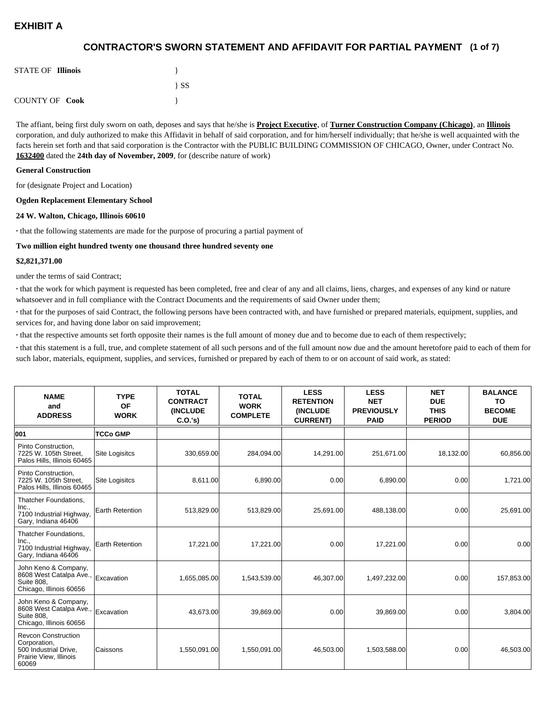## **(1 of 7) CONTRACTOR'S SWORN STATEMENT AND AFFIDAVIT FOR PARTIAL PAYMENT**

| <b>STATE OF Illinois</b> |          |
|--------------------------|----------|
|                          | $\{SS\}$ |
| <b>COUNTY OF Cook</b>    |          |

The affiant, being first duly sworn on oath, deposes and says that he/she is **Project Executive**, of **Turner Construction Company (Chicago)**, an **Illinois** corporation, and duly authorized to make this Affidavit in behalf of said corporation, and for him/herself individually; that he/she is well acquainted with the facts herein set forth and that said corporation is the Contractor with the PUBLIC BUILDING COMMISSION OF CHICAGO, Owner, under Contract No. **1632400** dated the **24th day of November, 2009**, for (describe nature of work)

#### **General Construction**

for (designate Project and Location)

#### **Ogden Replacement Elementary School**

#### **24 W. Walton, Chicago, Illinois 60610**

**·** that the following statements are made for the purpose of procuring a partial payment of

#### **Two million eight hundred twenty one thousand three hundred seventy one**

#### **\$2,821,371.00**

under the terms of said Contract;

**·** that the work for which payment is requested has been completed, free and clear of any and all claims, liens, charges, and expenses of any kind or nature whatsoever and in full compliance with the Contract Documents and the requirements of said Owner under them;

**·** that for the purposes of said Contract, the following persons have been contracted with, and have furnished or prepared materials, equipment, supplies, and services for, and having done labor on said improvement;

**·** that the respective amounts set forth opposite their names is the full amount of money due and to become due to each of them respectively;

**·** that this statement is a full, true, and complete statement of all such persons and of the full amount now due and the amount heretofore paid to each of them for such labor, materials, equipment, supplies, and services, furnished or prepared by each of them to or on account of said work, as stated:

| <b>NAME</b><br>and<br><b>ADDRESS</b>                                                                   | <b>TYPE</b><br><b>OF</b><br><b>WORK</b> | <b>TOTAL</b><br><b>CONTRACT</b><br><b>(INCLUDE)</b><br>C.O.'s | <b>TOTAL</b><br><b>WORK</b><br><b>COMPLETE</b> | <b>LESS</b><br><b>RETENTION</b><br>(INCLUDE<br><b>CURRENT)</b> | <b>LESS</b><br><b>NET</b><br><b>PREVIOUSLY</b><br><b>PAID</b> | <b>NET</b><br><b>DUE</b><br><b>THIS</b><br><b>PERIOD</b> | <b>BALANCE</b><br>TO<br><b>BECOME</b><br><b>DUE</b> |
|--------------------------------------------------------------------------------------------------------|-----------------------------------------|---------------------------------------------------------------|------------------------------------------------|----------------------------------------------------------------|---------------------------------------------------------------|----------------------------------------------------------|-----------------------------------------------------|
| 001                                                                                                    | <b>TCCo GMP</b>                         |                                                               |                                                |                                                                |                                                               |                                                          |                                                     |
| Pinto Construction,<br>7225 W. 105th Street,<br>Palos Hills, Illinois 60465                            | <b>Site Logisitcs</b>                   | 330,659.00                                                    | 284,094.00                                     | 14,291.00                                                      | 251,671.00                                                    | 18,132.00                                                | 60,856.00                                           |
| Pinto Construction,<br>7225 W. 105th Street,<br>Palos Hills, Illinois 60465                            | <b>Site Logisitcs</b>                   | 8,611.00                                                      | 6,890.00                                       | 0.00                                                           | 6,890.00                                                      | 0.00                                                     | 1,721.00                                            |
| Thatcher Foundations,<br>Inc.,<br>7100 Industrial Highway,<br>Gary, Indiana 46406                      | <b>Earth Retention</b>                  | 513,829.00                                                    | 513,829.00                                     | 25,691.00                                                      | 488,138.00                                                    | 0.00                                                     | 25,691.00                                           |
| Thatcher Foundations,<br>Inc.,<br>7100 Industrial Highway,<br>Gary, Indiana 46406                      | <b>Earth Retention</b>                  | 17,221.00                                                     | 17,221.00                                      | 0.00                                                           | 17,221.00                                                     | 0.00                                                     | 0.00                                                |
| John Keno & Company,<br>8608 West Catalpa Ave.,<br>Suite 808,<br>Chicago, Illinois 60656               | Excavation                              | 1,655,085.00                                                  | 1,543,539.00                                   | 46,307.00                                                      | 1,497,232.00                                                  | 0.00                                                     | 157,853.00                                          |
| John Keno & Company,<br>8608 West Catalpa Ave.,<br><b>Suite 808.</b><br>Chicago, Illinois 60656        | Excavation                              | 43,673.00                                                     | 39,869.00                                      | 0.00                                                           | 39,869.00                                                     | 0.00                                                     | 3,804.00                                            |
| <b>Revcon Construction</b><br>Corporation,<br>500 Industrial Drive,<br>Prairie View, Illinois<br>60069 | Caissons                                | 1,550,091.00                                                  | 1,550,091.00                                   | 46,503.00                                                      | 1,503,588.00                                                  | 0.00                                                     | 46,503.00                                           |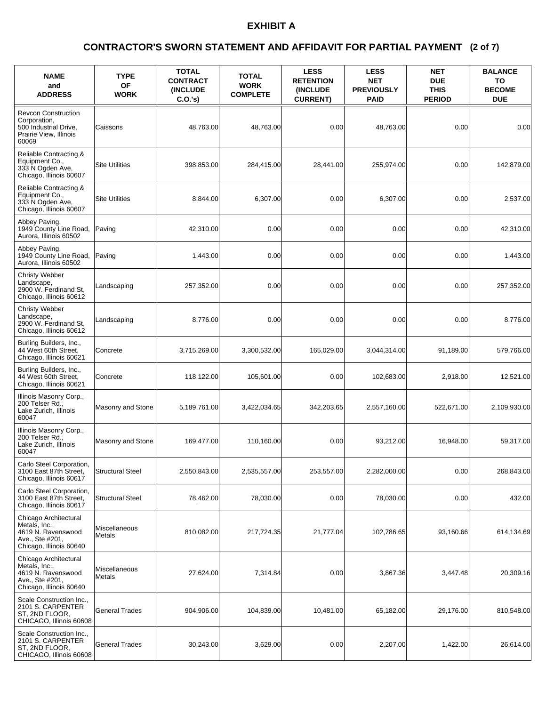### **(2 of 7) CONTRACTOR'S SWORN STATEMENT AND AFFIDAVIT FOR PARTIAL PAYMENT**

| <b>NAME</b><br>and<br><b>ADDRESS</b>                                                                       | <b>TYPE</b><br><b>OF</b><br><b>WORK</b> | <b>TOTAL</b><br><b>CONTRACT</b><br><b>(INCLUDE)</b><br>C.O.'s) | <b>TOTAL</b><br><b>WORK</b><br><b>COMPLETE</b> | <b>LESS</b><br><b>RETENTION</b><br><b>(INCLUDE)</b><br><b>CURRENT)</b> | <b>LESS</b><br><b>NET</b><br><b>PREVIOUSLY</b><br><b>PAID</b> | <b>NET</b><br><b>DUE</b><br><b>THIS</b><br><b>PERIOD</b> | <b>BALANCE</b><br>TO<br><b>BECOME</b><br><b>DUE</b> |
|------------------------------------------------------------------------------------------------------------|-----------------------------------------|----------------------------------------------------------------|------------------------------------------------|------------------------------------------------------------------------|---------------------------------------------------------------|----------------------------------------------------------|-----------------------------------------------------|
| <b>Revcon Construction</b><br>Corporation,<br>500 Industrial Drive,<br>Prairie View, Illinois<br>60069     | Caissons                                | 48,763.00                                                      | 48,763.00                                      | 0.00                                                                   | 48,763.00                                                     | 0.00                                                     | 0.00                                                |
| Reliable Contracting &<br>Equipment Co.,<br>333 N Ogden Ave,<br>Chicago, Illinois 60607                    | <b>Site Utilities</b>                   | 398,853.00                                                     | 284,415.00                                     | 28,441.00                                                              | 255,974.00                                                    | 0.00                                                     | 142,879.00                                          |
| Reliable Contracting &<br>Equipment Co.,<br>333 N Ogden Ave,<br>Chicago, Illinois 60607                    | <b>Site Utilities</b>                   | 8,844.00                                                       | 6,307.00                                       | 0.00                                                                   | 6,307.00                                                      | 0.00                                                     | 2,537.00                                            |
| Abbey Paving,<br>1949 County Line Road,<br>Aurora. Illinois 60502                                          | Paving                                  | 42,310.00                                                      | 0.00                                           | 0.00                                                                   | 0.00                                                          | 0.00                                                     | 42,310.00                                           |
| Abbey Paving,<br>1949 County Line Road,<br>Aurora, Illinois 60502                                          | Paving                                  | 1,443.00                                                       | 0.00                                           | 0.00                                                                   | 0.00                                                          | 0.00                                                     | 1,443.00                                            |
| Christy Webber<br>Landscape.<br>2900 W. Ferdinand St,<br>Chicago, Illinois 60612                           | Landscaping                             | 257,352.00                                                     | 0.00                                           | 0.00                                                                   | 0.00                                                          | 0.00                                                     | 257,352.00                                          |
| Christy Webber<br>Landscape,<br>2900 W. Ferdinand St,<br>Chicago, Illinois 60612                           | Landscaping                             | 8,776.00                                                       | 0.00                                           | 0.00                                                                   | 0.00                                                          | 0.00                                                     | 8,776.00                                            |
| Burling Builders, Inc.,<br>44 West 60th Street,<br>Chicago, Illinois 60621                                 | Concrete                                | 3,715,269.00                                                   | 3,300,532.00                                   | 165,029.00                                                             | 3,044,314.00                                                  | 91,189.00                                                | 579,766.00                                          |
| Burling Builders, Inc.,<br>44 West 60th Street,<br>Chicago, Illinois 60621                                 | Concrete                                | 118,122.00                                                     | 105,601.00                                     | 0.00                                                                   | 102,683.00                                                    | 2,918.00                                                 | 12,521.00                                           |
| Illinois Masonry Corp.,<br>200 Telser Rd.,<br>Lake Zurich, Illinois<br>60047                               | Masonry and Stone                       | 5,189,761.00                                                   | 3,422,034.65                                   | 342,203.65                                                             | 2,557,160.00                                                  | 522,671.00                                               | 2,109,930.00                                        |
| Illinois Masonry Corp.,<br>200 Telser Rd.,<br>Lake Zurich, Illinois<br>60047                               | Masonry and Stone                       | 169,477.00                                                     | 110.160.00                                     | 0.00                                                                   | 93,212.00                                                     | 16,948.00                                                | 59,317.00                                           |
| Carlo Steel Corporation,<br>3100 East 87th Street,<br>Chicago, Illinois 60617                              | <b>Structural Steel</b>                 | 2,550,843.00                                                   | 2,535,557.00                                   | 253,557.00                                                             | 2,282,000.00                                                  | 0.00                                                     | 268,843.00                                          |
| Carlo Steel Corporation,<br>3100 East 87th Street,<br>Chicago, Illinois 60617                              | <b>Structural Steel</b>                 | 78,462.00                                                      | 78,030.00                                      | 0.00                                                                   | 78,030.00                                                     | 0.00                                                     | 432.00                                              |
| Chicago Architectural<br>Metals, Inc.,<br>4619 N. Ravenswood<br>Ave., Ste #201,<br>Chicago, Illinois 60640 | Miscellaneous<br>Metals                 | 810,082.00                                                     | 217,724.35                                     | 21,777.04                                                              | 102,786.65                                                    | 93,160.66                                                | 614,134.69                                          |
| Chicago Architectural<br>Metals, Inc.,<br>4619 N. Ravenswood<br>Ave., Ste #201,<br>Chicago, Illinois 60640 | Miscellaneous<br>Metals                 | 27,624.00                                                      | 7,314.84                                       | 0.00                                                                   | 3,867.36                                                      | 3,447.48                                                 | 20,309.16                                           |
| Scale Construction Inc.,<br>2101 S. CARPENTER<br>ST, 2ND FLOOR,<br>CHICAGO, Illinois 60608                 | <b>General Trades</b>                   | 904,906.00                                                     | 104,839.00                                     | 10,481.00                                                              | 65,182.00                                                     | 29,176.00                                                | 810,548.00                                          |
| Scale Construction Inc.,<br>2101 S. CARPENTER<br>ST, 2ND FLOOR,<br>CHICAGO, Illinois 60608                 | <b>General Trades</b>                   | 30,243.00                                                      | 3,629.00                                       | 0.00                                                                   | 2,207.00                                                      | 1,422.00                                                 | 26,614.00                                           |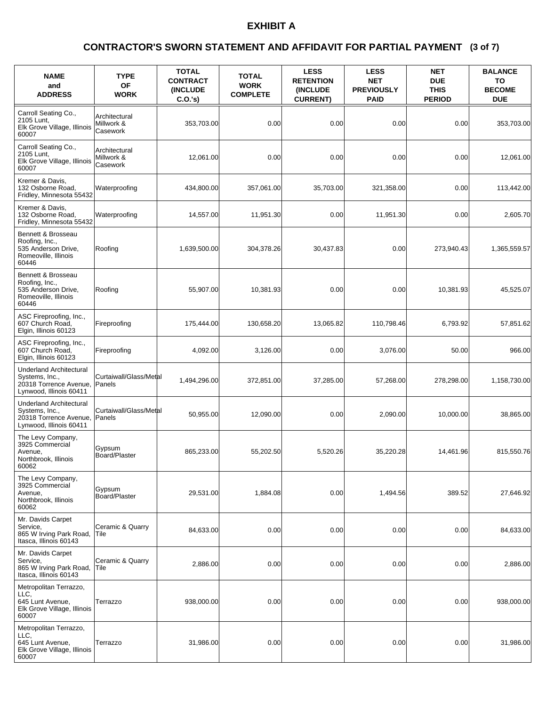### **(3 of 7) CONTRACTOR'S SWORN STATEMENT AND AFFIDAVIT FOR PARTIAL PAYMENT**

| <b>NAME</b><br>and<br><b>ADDRESS</b>                                                                  | <b>TYPE</b><br><b>OF</b><br><b>WORK</b> | <b>TOTAL</b><br><b>CONTRACT</b><br><b>(INCLUDE)</b><br>C.O.'s) | <b>TOTAL</b><br><b>WORK</b><br><b>COMPLETE</b> | <b>LESS</b><br><b>RETENTION</b><br><b>(INCLUDE)</b><br><b>CURRENT)</b> | <b>LESS</b><br><b>NET</b><br><b>PREVIOUSLY</b><br><b>PAID</b> | <b>NET</b><br><b>DUE</b><br><b>THIS</b><br><b>PERIOD</b> | <b>BALANCE</b><br>TO<br><b>BECOME</b><br><b>DUE</b> |
|-------------------------------------------------------------------------------------------------------|-----------------------------------------|----------------------------------------------------------------|------------------------------------------------|------------------------------------------------------------------------|---------------------------------------------------------------|----------------------------------------------------------|-----------------------------------------------------|
| Carroll Seating Co.,<br>2105 Lunt,<br>Elk Grove Village, Illinois<br>60007                            | Architectural<br>Millwork &<br>Casework | 353,703.00                                                     | 0.00                                           | 0.00                                                                   | 0.00                                                          | 0.00                                                     | 353,703.00                                          |
| Carroll Seating Co.,<br>2105 Lunt,<br>Elk Grove Village, Illinois<br>60007                            | Architectural<br>Millwork &<br>Casework | 12,061.00                                                      | 0.00                                           | 0.00                                                                   | 0.00                                                          | 0.00                                                     | 12,061.00                                           |
| Kremer & Davis,<br>132 Osborne Road.<br>Fridley, Minnesota 55432                                      | Waterproofing                           | 434,800.00                                                     | 357,061.00                                     | 35,703.00                                                              | 321,358.00                                                    | 0.00                                                     | 113,442.00                                          |
| Kremer & Davis,<br>132 Osborne Road,<br>Fridley, Minnesota 55432                                      | Waterproofing                           | 14,557.00                                                      | 11,951.30                                      | 0.00                                                                   | 11,951.30                                                     | 0.00                                                     | 2,605.70                                            |
| Bennett & Brosseau<br>Roofing, Inc.,<br>535 Anderson Drive,<br>Romeoville, Illinois<br>60446          | Roofing                                 | 1,639,500.00                                                   | 304,378.26                                     | 30,437.83                                                              | 0.00                                                          | 273,940.43                                               | 1,365,559.57                                        |
| Bennett & Brosseau<br>Roofing, Inc.,<br>535 Anderson Drive,<br>Romeoville, Illinois<br>60446          | Roofing                                 | 55,907.00                                                      | 10.381.93                                      | 0.00                                                                   | 0.00                                                          | 10.381.93                                                | 45,525.07                                           |
| ASC Fireproofing, Inc.,<br>607 Church Road,<br>Elgin, Illinois 60123                                  | Fireproofing                            | 175,444.00                                                     | 130,658.20                                     | 13,065.82                                                              | 110,798.46                                                    | 6,793.92                                                 | 57,851.62                                           |
| ASC Fireproofing, Inc.,<br>607 Church Road,<br>Elgin, Illinois 60123                                  | Fireproofing                            | 4,092.00                                                       | 3,126.00                                       | 0.00                                                                   | 3,076.00                                                      | 50.00                                                    | 966.00                                              |
| <b>Underland Architectural</b><br>Systems, Inc.,<br>20318 Torrence Avenue,<br>Lynwood, Illinois 60411 | Curtaiwall/Glass/Metal<br>Panels        | 1,494,296.00                                                   | 372,851.00                                     | 37,285.00                                                              | 57,268.00                                                     | 278,298.00                                               | 1,158,730.00                                        |
| <b>Underland Architectural</b><br>Systems, Inc.,<br>20318 Torrence Avenue,<br>Lynwood, Illinois 60411 | Curtaiwall/Glass/Metal<br>Panels        | 50,955.00                                                      | 12.090.00                                      | 0.00                                                                   | 2,090.00                                                      | 10.000.00                                                | 38,865.00                                           |
| The Levy Company,<br>3925 Commercial<br>Avenue,<br>Northbrook, Illinois<br>60062                      | Gypsum<br>Board/Plaster                 | 865,233.00                                                     | 55,202.50                                      | 5,520.26                                                               | 35,220.28                                                     | 14,461.96                                                | 815,550.76                                          |
| The Levy Company,<br>3925 Commercial<br>Avenue,<br>Northbrook, Illinois<br>60062                      | Gypsum<br>Board/Plaster                 | 29,531.00                                                      | 1,884.08                                       | 0.00                                                                   | 1,494.56                                                      | 389.52                                                   | 27,646.92                                           |
| Mr. Davids Carpet<br>Service,<br>865 W Irving Park Road,<br>Itasca, Illinois 60143                    | Ceramic & Quarry<br> Tile               | 84,633.00                                                      | 0.00                                           | 0.00                                                                   | 0.00                                                          | 0.00                                                     | 84,633.00                                           |
| Mr. Davids Carpet<br>Service.<br>865 W Irving Park Road,<br>Itasca, Illinois 60143                    | Ceramic & Quarry<br>Tile                | 2.886.00                                                       | 0.00                                           | 0.00                                                                   | 0.00                                                          | 0.00                                                     | 2,886.00                                            |
| Metropolitan Terrazzo,<br>LLC,<br>645 Lunt Avenue,<br>Elk Grove Village, Illinois<br>60007            | Terrazzo                                | 938,000.00                                                     | 0.00                                           | 0.00                                                                   | 0.00                                                          | 0.00                                                     | 938,000.00                                          |
| Metropolitan Terrazzo,<br>LLC,<br>645 Lunt Avenue,<br>Elk Grove Village, Illinois<br>60007            | Terrazzo                                | 31,986.00                                                      | 0.00                                           | 0.00                                                                   | 0.00                                                          | 0.00                                                     | 31,986.00                                           |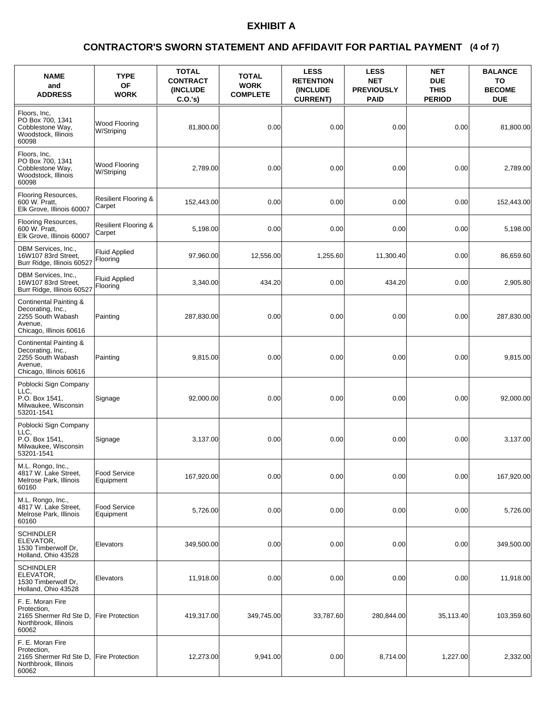### **(4 of 7) CONTRACTOR'S SWORN STATEMENT AND AFFIDAVIT FOR PARTIAL PAYMENT**

| <b>NAME</b><br>and<br><b>ADDRESS</b>                                                                   | <b>TYPE</b><br><b>OF</b><br><b>WORK</b>   | <b>TOTAL</b><br><b>CONTRACT</b><br><b>(INCLUDE)</b><br>C.O.'s) | <b>TOTAL</b><br><b>WORK</b><br><b>COMPLETE</b> | <b>LESS</b><br><b>RETENTION</b><br><b>(INCLUDE)</b><br><b>CURRENT)</b> | <b>LESS</b><br><b>NET</b><br><b>PREVIOUSLY</b><br><b>PAID</b> | <b>NET</b><br><b>DUE</b><br><b>THIS</b><br><b>PERIOD</b> | <b>BALANCE</b><br>TO<br><b>BECOME</b><br><b>DUE</b> |
|--------------------------------------------------------------------------------------------------------|-------------------------------------------|----------------------------------------------------------------|------------------------------------------------|------------------------------------------------------------------------|---------------------------------------------------------------|----------------------------------------------------------|-----------------------------------------------------|
| Floors, Inc.<br>PO Box 700, 1341<br>Cobblestone Way,<br>Woodstock, Illinois<br>60098                   | Wood Flooring<br>W/Striping               | 81.800.00                                                      | 0.00                                           | 0.00                                                                   | 0.00                                                          | 0.00                                                     | 81,800.00                                           |
| Floors, Inc.<br>PO Box 700, 1341<br>Cobblestone Way,<br>Woodstock, Illinois<br>60098                   | Wood Flooring<br>W/Striping               | 2,789.00                                                       | 0.00                                           | 0.00                                                                   | 0.00                                                          | 0.00                                                     | 2,789.00                                            |
| Flooring Resources,<br>600 W. Pratt,<br>Elk Grove, Illinois 60007                                      | <b>Resilient Flooring &amp;</b><br>Carpet | 152,443.00                                                     | 0.00                                           | 0.00                                                                   | 0.00                                                          | 0.00                                                     | 152,443.00                                          |
| Flooring Resources,<br>600 W. Pratt,<br>Elk Grove, Illinois 60007                                      | <b>Resilient Flooring &amp;</b><br>Carpet | 5,198.00                                                       | 0.00                                           | 0.00                                                                   | 0.00                                                          | 0.00                                                     | 5,198.00                                            |
| DBM Services, Inc.,<br>16W107 83rd Street,<br>Burr Ridge, Illinois 60527                               | <b>Fluid Applied</b><br>Flooring          | 97,960.00                                                      | 12,556.00                                      | 1,255.60                                                               | 11,300.40                                                     | 0.00                                                     | 86,659.60                                           |
| DBM Services, Inc.,<br>16W107 83rd Street,<br>Burr Ridge, Illinois 60527                               | <b>Fluid Applied</b><br>Flooring          | 3,340.00                                                       | 434.20                                         | 0.00                                                                   | 434.20                                                        | 0.00                                                     | 2,905.80                                            |
| Continental Painting &<br>Decorating, Inc.,<br>2255 South Wabash<br>Avenue,<br>Chicago, Illinois 60616 | Painting                                  | 287,830.00                                                     | 0.00                                           | 0.00                                                                   | 0.00                                                          | 0.00                                                     | 287,830.00                                          |
| Continental Painting &<br>Decorating, Inc.,<br>2255 South Wabash<br>Avenue,<br>Chicago, Illinois 60616 | Painting                                  | 9,815.00                                                       | 0.00                                           | 0.00                                                                   | 0.00                                                          | 0.00                                                     | 9,815.00                                            |
| Poblocki Sign Company<br>LLC.<br>P.O. Box 1541,<br>Milwaukee, Wisconsin<br>53201-1541                  | Signage                                   | 92,000.00                                                      | 0.00                                           | 0.00                                                                   | 0.00                                                          | 0.00                                                     | 92,000.00                                           |
| Poblocki Sign Company<br>LLC.<br>P.O. Box 1541.<br>Milwaukee, Wisconsin<br>53201-1541                  | Signage                                   | 3,137.00                                                       | 0.00                                           | 0.00                                                                   | 0.00                                                          | 0.00                                                     | 3,137.00                                            |
| M.L. Rongo, Inc.,<br>4817 W. Lake Street,<br>Melrose Park, Illinois<br>60160                           | Food Service<br>Equipment                 | 167,920.00                                                     | 0.00                                           | 0.00                                                                   | 0.00                                                          | 0.00                                                     | 167,920.00                                          |
| M.L. Rongo, Inc.,<br>4817 W. Lake Street,<br>Melrose Park, Illinois<br>60160                           | Food Service<br>Equipment                 | 5,726.00                                                       | 0.00                                           | 0.00                                                                   | 0.00                                                          | 0.00                                                     | 5,726.00                                            |
| SCHINDLER<br>ELEVATOR,<br>1530 Timberwolf Dr,<br>Holland, Ohio 43528                                   | Elevators                                 | 349,500.00                                                     | 0.00                                           | 0.00                                                                   | 0.00                                                          | 0.00                                                     | 349,500.00                                          |
| <b>SCHINDLER</b><br>ELEVATOR,<br>1530 Timberwolf Dr,<br>Holland, Ohio 43528                            | Elevators                                 | 11,918.00                                                      | 0.00                                           | 0.00                                                                   | 0.00                                                          | 0.00                                                     | 11,918.00                                           |
| F. E. Moran Fire<br>Protection,<br>2165 Shermer Rd Ste D,<br>Northbrook, Illinois<br>60062             | <b>Fire Protection</b>                    | 419,317.00                                                     | 349,745.00                                     | 33,787.60                                                              | 280,844.00                                                    | 35,113.40                                                | 103,359.60                                          |
| F. E. Moran Fire<br>Protection,<br>2165 Shermer Rd Ste D,<br>Northbrook, Illinois<br>60062             | <b>Fire Protection</b>                    | 12,273.00                                                      | 9,941.00                                       | 0.00                                                                   | 8,714.00                                                      | 1,227.00                                                 | 2,332.00                                            |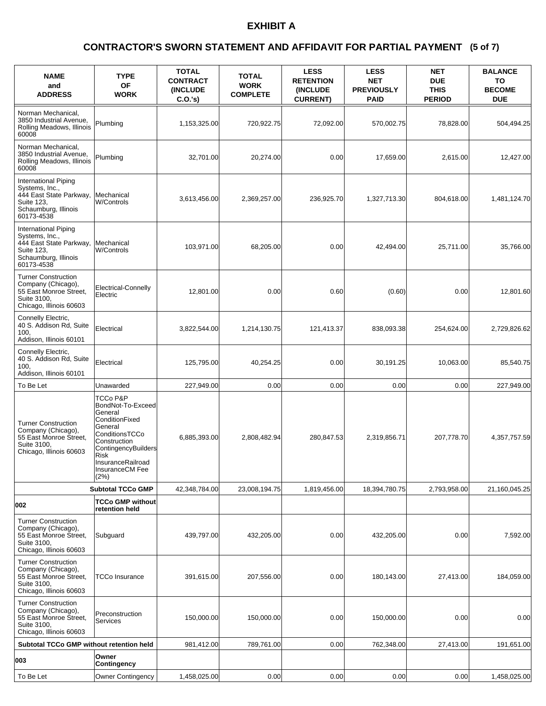### **(5 of 7) CONTRACTOR'S SWORN STATEMENT AND AFFIDAVIT FOR PARTIAL PAYMENT**

| <b>NAME</b><br>and<br><b>ADDRESS</b>                                                                                         | <b>TYPE</b><br><b>OF</b><br><b>WORK</b>                                                                                                                                                | <b>TOTAL</b><br><b>CONTRACT</b><br><b>(INCLUDE)</b><br>C.O.'s) | <b>TOTAL</b><br><b>WORK</b><br><b>COMPLETE</b> | <b>LESS</b><br><b>RETENTION</b><br>(INCLUDE<br><b>CURRENT)</b> | <b>LESS</b><br><b>NET</b><br><b>PREVIOUSLY</b><br><b>PAID</b> | <b>NET</b><br><b>DUE</b><br><b>THIS</b><br><b>PERIOD</b> | <b>BALANCE</b><br>TO<br><b>BECOME</b><br><b>DUE</b> |
|------------------------------------------------------------------------------------------------------------------------------|----------------------------------------------------------------------------------------------------------------------------------------------------------------------------------------|----------------------------------------------------------------|------------------------------------------------|----------------------------------------------------------------|---------------------------------------------------------------|----------------------------------------------------------|-----------------------------------------------------|
| Norman Mechanical.<br>3850 Industrial Avenue,<br>Rolling Meadows, Illinois<br>60008                                          | Plumbing                                                                                                                                                                               | 1,153,325.00                                                   | 720,922.75                                     | 72.092.00                                                      | 570,002.75                                                    | 78,828.00                                                | 504,494.25                                          |
| Norman Mechanical,<br>3850 Industrial Avenue,<br>Rolling Meadows, Illinois<br>60008                                          | Plumbing                                                                                                                                                                               | 32,701.00                                                      | 20,274.00                                      | 0.00                                                           | 17,659.00                                                     | 2,615.00                                                 | 12,427.00                                           |
| <b>International Piping</b><br>Systems, Inc.,<br>444 East State Parkway,<br>Suite 123,<br>Schaumburg, Illinois<br>60173-4538 | Mechanical<br><b>W/Controls</b>                                                                                                                                                        | 3,613,456.00                                                   | 2,369,257.00                                   | 236,925.70                                                     | 1,327,713.30                                                  | 804,618.00                                               | 1,481,124.70                                        |
| International Piping<br>Systems, Inc.,<br>444 East State Parkway,<br>Suite 123,<br>Schaumburg, Illinois<br>60173-4538        | Mechanical<br><b>W/Controls</b>                                                                                                                                                        | 103,971.00                                                     | 68,205.00                                      | 0.00                                                           | 42,494.00                                                     | 25,711.00                                                | 35,766.00                                           |
| <b>Turner Construction</b><br>Company (Chicago),<br>55 East Monroe Street,<br>Suite 3100.<br>Chicago, Illinois 60603         | Electrical-Connelly<br>Electric                                                                                                                                                        | 12,801.00                                                      | 0.00                                           | 0.60                                                           | (0.60)                                                        | 0.00                                                     | 12,801.60                                           |
| Connelly Electric,<br>40 S. Addison Rd, Suite<br>100.<br>Addison, Illinois 60101                                             | Electrical                                                                                                                                                                             | 3,822,544.00                                                   | 1,214,130.75                                   | 121,413.37                                                     | 838,093.38                                                    | 254,624.00                                               | 2,729,826.62                                        |
| Connelly Electric,<br>40 S. Addison Rd, Suite<br>100.<br>Addison, Illinois 60101                                             | Electrical                                                                                                                                                                             | 125,795.00                                                     | 40,254.25                                      | 0.00                                                           | 30,191.25                                                     | 10,063.00                                                | 85,540.75                                           |
| To Be Let                                                                                                                    | Unawarded                                                                                                                                                                              | 227,949.00                                                     | 0.00                                           | 0.00                                                           | 0.00                                                          | 0.00                                                     | 227,949.00                                          |
| <b>Turner Construction</b><br>Company (Chicago),<br>55 East Monroe Street,<br>Suite 3100,<br>Chicago, Illinois 60603         | TCCo P&P<br>BondNot-To-Exceed<br>General<br>ConditionFixed<br>General<br>ConditionsTCCo<br>Construction<br>ContingencyBuilders<br>Risk<br>InsuranceRailroad<br>InsuranceCM Fee<br>(2%) | 6,885,393.00                                                   | 2,808,482.94                                   | 280,847.53                                                     | 2,319,856.71                                                  | 207,778.70                                               | 4,357,757.59                                        |
|                                                                                                                              | <b>Subtotal TCCo GMP</b>                                                                                                                                                               | 42,348,784.00                                                  | 23,008,194.75                                  | 1,819,456.00                                                   | 18,394,780.75                                                 | 2,793,958.00                                             | 21,160,045.25                                       |
| 002                                                                                                                          | TCCo GMP without<br>retention held                                                                                                                                                     |                                                                |                                                |                                                                |                                                               |                                                          |                                                     |
| <b>Turner Construction</b><br>Company (Chicago),<br>55 East Monroe Street,<br>Suite 3100,<br>Chicago, Illinois 60603         | Subquard                                                                                                                                                                               | 439,797.00                                                     | 432.205.00                                     | 0.00                                                           | 432,205.00                                                    | 0.00                                                     | 7,592.00                                            |
| <b>Turner Construction</b><br>Company (Chicago),<br>55 East Monroe Street.<br>Suite 3100,<br>Chicago, Illinois 60603         | <b>TCCo Insurance</b>                                                                                                                                                                  | 391,615.00                                                     | 207,556.00                                     | 0.00                                                           | 180,143.00                                                    | 27,413.00                                                | 184,059.00                                          |
| <b>Turner Construction</b><br>Company (Chicago),<br>55 East Monroe Street,<br>Suite 3100,<br>Chicago, Illinois 60603         | Preconstruction<br>Services                                                                                                                                                            | 150,000.00                                                     | 150,000.00                                     | 0.00                                                           | 150,000.00                                                    | 0.00                                                     | 0.00                                                |
| Subtotal TCCo GMP without retention held                                                                                     |                                                                                                                                                                                        | 981,412.00                                                     | 789,761.00                                     | 0.00                                                           | 762,348.00                                                    | 27,413.00                                                | 191,651.00                                          |
| 003                                                                                                                          | Owner<br>Contingency                                                                                                                                                                   |                                                                |                                                |                                                                |                                                               |                                                          |                                                     |
| To Be Let                                                                                                                    | <b>Owner Contingency</b>                                                                                                                                                               | 1,458,025.00                                                   | 0.00                                           | 0.00                                                           | 0.00                                                          | 0.00                                                     | 1,458,025.00                                        |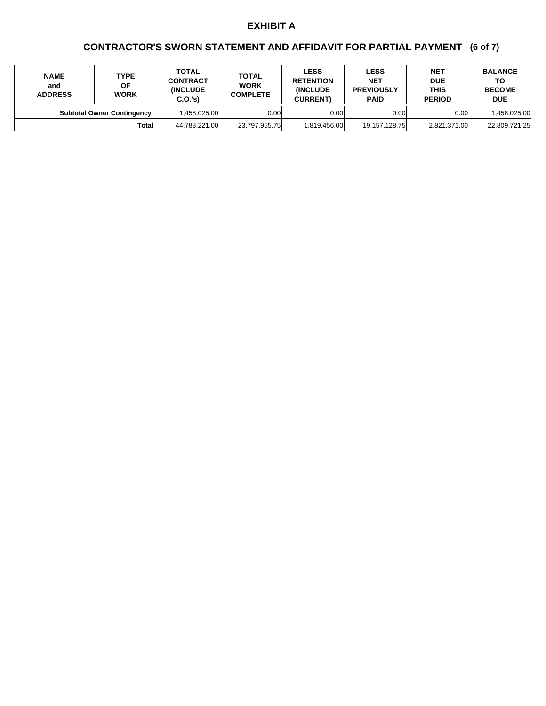## **(6 of 7) CONTRACTOR'S SWORN STATEMENT AND AFFIDAVIT FOR PARTIAL PAYMENT**

| <b>NAME</b><br>and<br><b>ADDRESS</b> | <b>TYPE</b><br>ΟF<br><b>WORK</b>  | <b>TOTAL</b><br><b>CONTRACT</b><br><b>INCLUDE</b><br>C.O.'s | <b>TOTAL</b><br><b>WORK</b><br><b>COMPLETE</b> | <b>LESS</b><br><b>RETENTION</b><br><b>INCLUDE</b><br><b>CURRENT)</b> | <b>LESS</b><br><b>NET</b><br><b>PREVIOUSLY</b><br><b>PAID</b> | <b>NET</b><br><b>DUE</b><br><b>THIS</b><br><b>PERIOD</b> | <b>BALANCE</b><br>ΤО<br><b>BECOME</b><br><b>DUE</b> |
|--------------------------------------|-----------------------------------|-------------------------------------------------------------|------------------------------------------------|----------------------------------------------------------------------|---------------------------------------------------------------|----------------------------------------------------------|-----------------------------------------------------|
|                                      | <b>Subtotal Owner Contingency</b> | l.458.025.00l                                               | 0.00 <sub>l</sub>                              | 0.00                                                                 | 0.00                                                          | 0.00                                                     | 458,025.00                                          |
|                                      | <b>Total</b>                      | 44,788,221.00                                               | 23,797,955.75                                  | 1.819.456.00                                                         | 19,157,128.75                                                 | 2,821,371.00                                             | 22,809,721.25                                       |